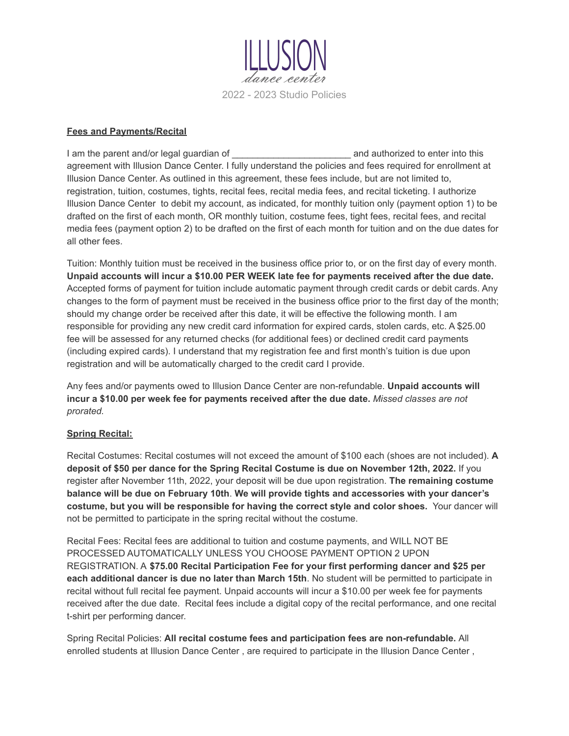

#### **Fees and Payments/Recital**

I am the parent and/or legal guardian of \_\_\_\_\_\_\_\_\_\_\_\_\_\_\_\_\_\_\_\_\_\_\_\_\_\_\_\_\_\_\_\_\_ and authorized to enter into this agreement with Illusion Dance Center. I fully understand the policies and fees required for enrollment at Illusion Dance Center. As outlined in this agreement, these fees include, but are not limited to, registration, tuition, costumes, tights, recital fees, recital media fees, and recital ticketing. I authorize Illusion Dance Center to debit my account, as indicated, for monthly tuition only (payment option 1) to be drafted on the first of each month, OR monthly tuition, costume fees, tight fees, recital fees, and recital media fees (payment option 2) to be drafted on the first of each month for tuition and on the due dates for all other fees.

Tuition: Monthly tuition must be received in the business office prior to, or on the first day of every month. **Unpaid accounts will incur a \$10.00 PER WEEK late fee for payments received after the due date.** Accepted forms of payment for tuition include automatic payment through credit cards or debit cards. Any changes to the form of payment must be received in the business office prior to the first day of the month; should my change order be received after this date, it will be effective the following month. I am responsible for providing any new credit card information for expired cards, stolen cards, etc. A \$25.00 fee will be assessed for any returned checks (for additional fees) or declined credit card payments (including expired cards). I understand that my registration fee and first month's tuition is due upon registration and will be automatically charged to the credit card I provide.

Any fees and/or payments owed to Illusion Dance Center are non-refundable. **Unpaid accounts will incur a \$10.00 per week fee for payments received after the due date.** *Missed classes are not prorated.*

#### **Spring Recital:**

Recital Costumes: Recital costumes will not exceed the amount of \$100 each (shoes are not included). **A deposit of \$50 per dance for the Spring Recital Costume is due on November 12th, 2022.** If you register after November 11th, 2022, your deposit will be due upon registration. **The remaining costume balance will be due on February 10th**. **We will provide tights and accessories with your dancer's costume, but you will be responsible for having the correct style and color shoes.** Your dancer will not be permitted to participate in the spring recital without the costume.

Recital Fees: Recital fees are additional to tuition and costume payments, and WILL NOT BE PROCESSED AUTOMATICALLY UNLESS YOU CHOOSE PAYMENT OPTION 2 UPON REGISTRATION. A **\$75.00 Recital Participation Fee for your first performing dancer and \$25 per each additional dancer is due no later than March 15th**. No student will be permitted to participate in recital without full recital fee payment. Unpaid accounts will incur a \$10.00 per week fee for payments received after the due date. Recital fees include a digital copy of the recital performance, and one recital t-shirt per performing dancer.

Spring Recital Policies: **All recital costume fees and participation fees are non-refundable.** All enrolled students at Illusion Dance Center , are required to participate in the Illusion Dance Center ,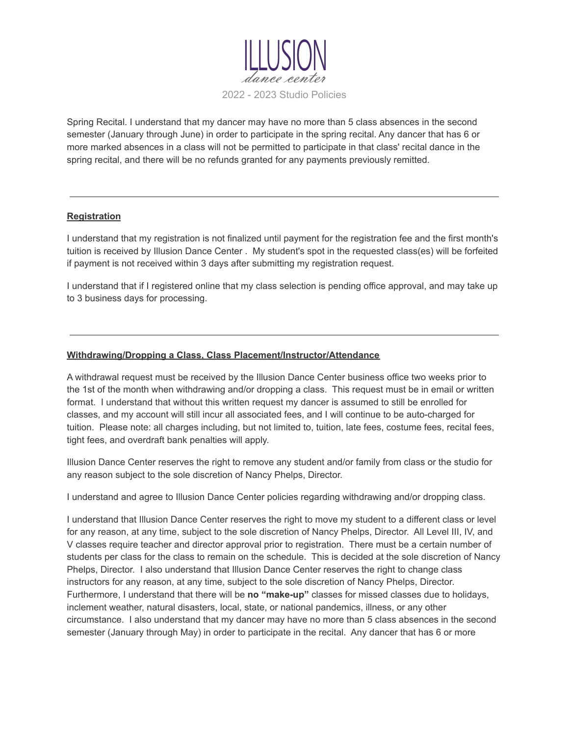

Spring Recital. I understand that my dancer may have no more than 5 class absences in the second semester (January through June) in order to participate in the spring recital. Any dancer that has 6 or more marked absences in a class will not be permitted to participate in that class' recital dance in the spring recital, and there will be no refunds granted for any payments previously remitted.

#### **Registration**

I understand that my registration is not finalized until payment for the registration fee and the first month's tuition is received by Illusion Dance Center . My student's spot in the requested class(es) will be forfeited if payment is not received within 3 days after submitting my registration request.

I understand that if I registered online that my class selection is pending office approval, and may take up to 3 business days for processing.

## **Withdrawing/Dropping a Class, Class Placement/Instructor/Attendance**

A withdrawal request must be received by the Illusion Dance Center business office two weeks prior to the 1st of the month when withdrawing and/or dropping a class. This request must be in email or written format. I understand that without this written request my dancer is assumed to still be enrolled for classes, and my account will still incur all associated fees, and I will continue to be auto-charged for tuition. Please note: all charges including, but not limited to, tuition, late fees, costume fees, recital fees, tight fees, and overdraft bank penalties will apply.

Illusion Dance Center reserves the right to remove any student and/or family from class or the studio for any reason subject to the sole discretion of Nancy Phelps, Director.

I understand and agree to Illusion Dance Center policies regarding withdrawing and/or dropping class.

I understand that Illusion Dance Center reserves the right to move my student to a different class or level for any reason, at any time, subject to the sole discretion of Nancy Phelps, Director. All Level III, IV, and V classes require teacher and director approval prior to registration. There must be a certain number of students per class for the class to remain on the schedule. This is decided at the sole discretion of Nancy Phelps, Director. I also understand that Illusion Dance Center reserves the right to change class instructors for any reason, at any time, subject to the sole discretion of Nancy Phelps, Director. Furthermore, I understand that there will be **no "make-up"** classes for missed classes due to holidays, inclement weather, natural disasters, local, state, or national pandemics, illness, or any other circumstance. I also understand that my dancer may have no more than 5 class absences in the second semester (January through May) in order to participate in the recital. Any dancer that has 6 or more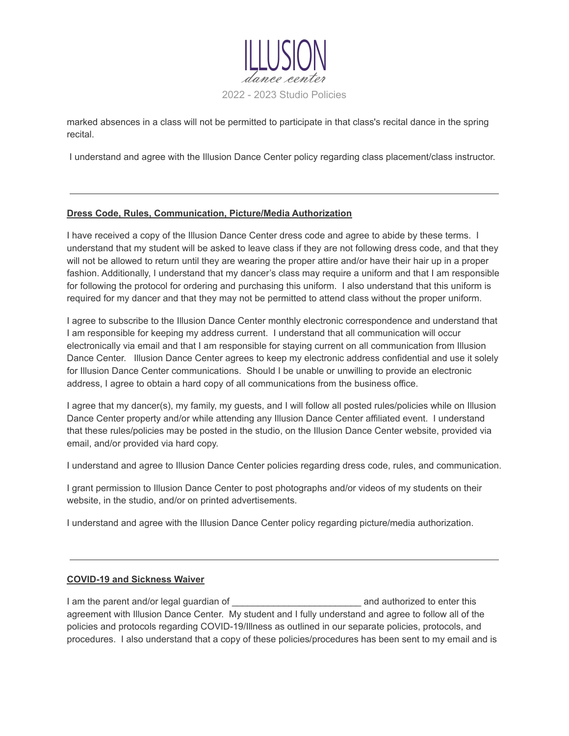

marked absences in a class will not be permitted to participate in that class's recital dance in the spring recital.

I understand and agree with the Illusion Dance Center policy regarding class placement/class instructor.

#### **Dress Code, Rules, Communication, Picture/Media Authorization**

I have received a copy of the Illusion Dance Center dress code and agree to abide by these terms. I understand that my student will be asked to leave class if they are not following dress code, and that they will not be allowed to return until they are wearing the proper attire and/or have their hair up in a proper fashion. Additionally, I understand that my dancer's class may require a uniform and that I am responsible for following the protocol for ordering and purchasing this uniform. I also understand that this uniform is required for my dancer and that they may not be permitted to attend class without the proper uniform.

I agree to subscribe to the Illusion Dance Center monthly electronic correspondence and understand that I am responsible for keeping my address current. I understand that all communication will occur electronically via email and that I am responsible for staying current on all communication from Illusion Dance Center. Illusion Dance Center agrees to keep my electronic address confidential and use it solely for Illusion Dance Center communications. Should I be unable or unwilling to provide an electronic address, I agree to obtain a hard copy of all communications from the business office.

I agree that my dancer(s), my family, my guests, and I will follow all posted rules/policies while on Illusion Dance Center property and/or while attending any Illusion Dance Center affiliated event. I understand that these rules/policies may be posted in the studio, on the Illusion Dance Center website, provided via email, and/or provided via hard copy.

I understand and agree to Illusion Dance Center policies regarding dress code, rules, and communication.

I grant permission to Illusion Dance Center to post photographs and/or videos of my students on their website, in the studio, and/or on printed advertisements.

I understand and agree with the Illusion Dance Center policy regarding picture/media authorization.

#### **COVID-19 and Sickness Waiver**

I am the parent and/or legal guardian of \_\_\_\_\_\_\_\_\_\_\_\_\_\_\_\_\_\_\_\_\_\_\_\_\_ and authorized to enter this agreement with Illusion Dance Center. My student and I fully understand and agree to follow all of the policies and protocols regarding COVID-19/Illness as outlined in our separate policies, protocols, and procedures. I also understand that a copy of these policies/procedures has been sent to my email and is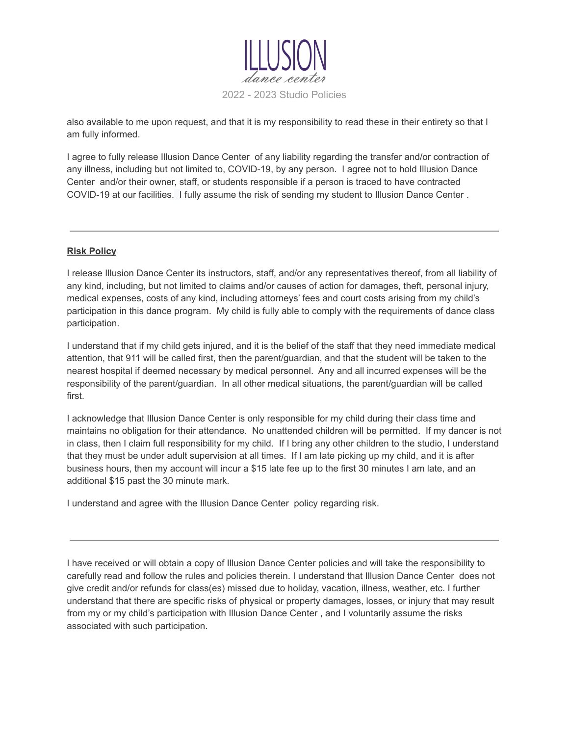

also available to me upon request, and that it is my responsibility to read these in their entirety so that I am fully informed.

I agree to fully release Illusion Dance Center of any liability regarding the transfer and/or contraction of any illness, including but not limited to, COVID-19, by any person. I agree not to hold Illusion Dance Center and/or their owner, staff, or students responsible if a person is traced to have contracted COVID-19 at our facilities. I fully assume the risk of sending my student to Illusion Dance Center .

### **Risk Policy**

I release Illusion Dance Center its instructors, staff, and/or any representatives thereof, from all liability of any kind, including, but not limited to claims and/or causes of action for damages, theft, personal injury, medical expenses, costs of any kind, including attorneys' fees and court costs arising from my child's participation in this dance program. My child is fully able to comply with the requirements of dance class participation.

I understand that if my child gets injured, and it is the belief of the staff that they need immediate medical attention, that 911 will be called first, then the parent/guardian, and that the student will be taken to the nearest hospital if deemed necessary by medical personnel. Any and all incurred expenses will be the responsibility of the parent/guardian. In all other medical situations, the parent/guardian will be called first.

I acknowledge that Illusion Dance Center is only responsible for my child during their class time and maintains no obligation for their attendance. No unattended children will be permitted. If my dancer is not in class, then I claim full responsibility for my child. If I bring any other children to the studio, I understand that they must be under adult supervision at all times. If I am late picking up my child, and it is after business hours, then my account will incur a \$15 late fee up to the first 30 minutes I am late, and an additional \$15 past the 30 minute mark.

I understand and agree with the Illusion Dance Center policy regarding risk.

I have received or will obtain a copy of Illusion Dance Center policies and will take the responsibility to carefully read and follow the rules and policies therein. I understand that Illusion Dance Center does not give credit and/or refunds for class(es) missed due to holiday, vacation, illness, weather, etc. I further understand that there are specific risks of physical or property damages, losses, or injury that may result from my or my child's participation with Illusion Dance Center , and I voluntarily assume the risks associated with such participation.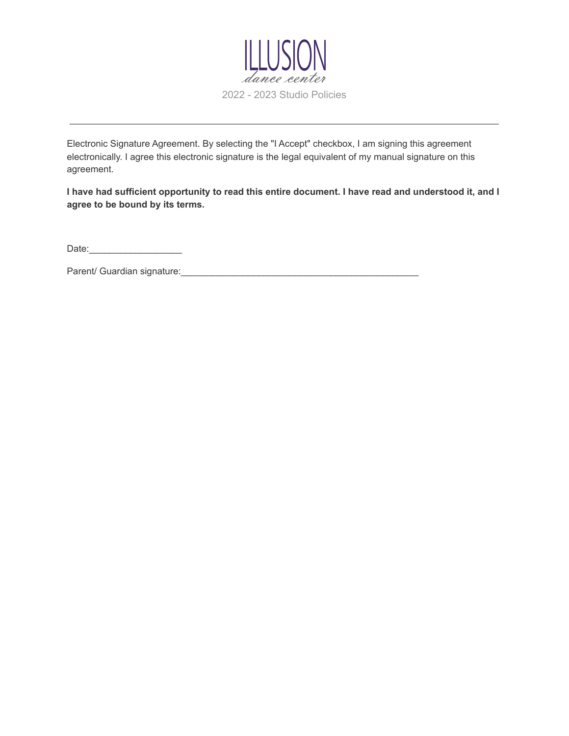

Electronic Signature Agreement. By selecting the "I Accept" checkbox, I am signing this agreement electronically. I agree this electronic signature is the legal equivalent of my manual signature on this agreement.

I have had sufficient opportunity to read this entire document. I have read and understood it, and I **agree to be bound by its terms.**

Date:\_\_\_\_\_\_\_\_\_\_\_\_\_\_\_\_\_\_

Parent/ Guardian signature:\_\_\_\_\_\_\_\_\_\_\_\_\_\_\_\_\_\_\_\_\_\_\_\_\_\_\_\_\_\_\_\_\_\_\_\_\_\_\_\_\_\_\_\_\_\_